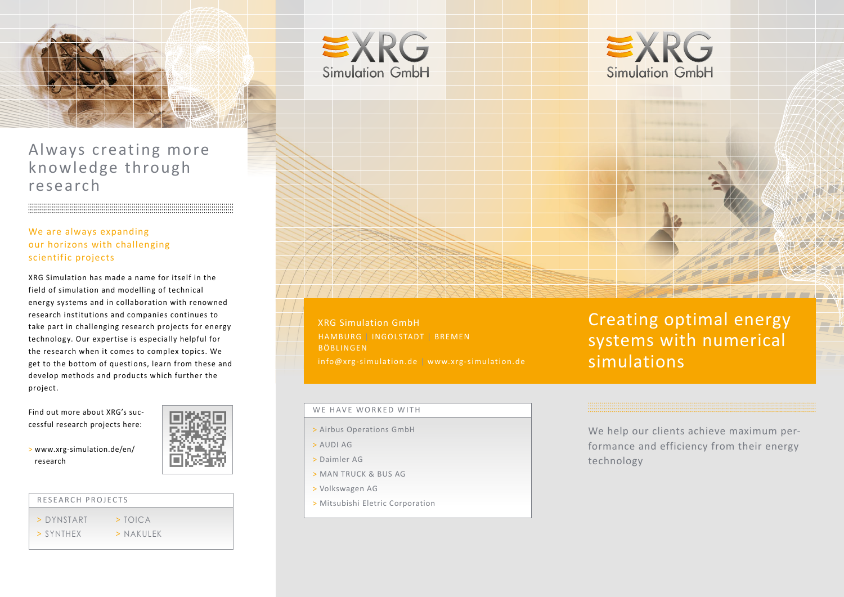

Always creating more knowledge through research

### We are always expanding our horizons with challenging scientific projects

XRG Simulation has made a name for itself in the field of simulation and modelling of technical energy systems and in collaboration with renowned research institutions and companies continues to take part in challenging research projects for energy technology. Our expertise is especially helpful for the research when it comes to complex topics. We get to the bottom of questions, learn from these and develop methods and products which further the project.

Find out more about XRG's successful research projects here:

> www.xrg-simulation.de/en/ research



#### RESEARCH PROJECTS

- > [DYN](http://www.xrg-simulation.de/en/research)START > [TOICA](http://www.xrg-simulation.de/en/research/toica)
- $>$  [SYNTHEX](http://www.xrg-simulation.de/en/products/xrg-applications/synthex)  $>$  NAKILLEK





XRG Simulation GmbH HAMBURG | INGOLSTADT | BREMEN BÖBLINGEN info@xrg-simulation.de | [www.xrg-simulation.de](http://www.xrg-simulation.de/en/home)

#### WE HAVE WORKED WITH

- > Airbus Operations GmbH
- > AUDI AG
- > Daimler AG
- > MAN TRUCK & BUS AG
- > Volkswagen AG
- > Mitsubishi Eletric Corporation

Creating optimal energy systems with numerical simulations

We help our clients achieve maximum performance and efficiency from their energy technology